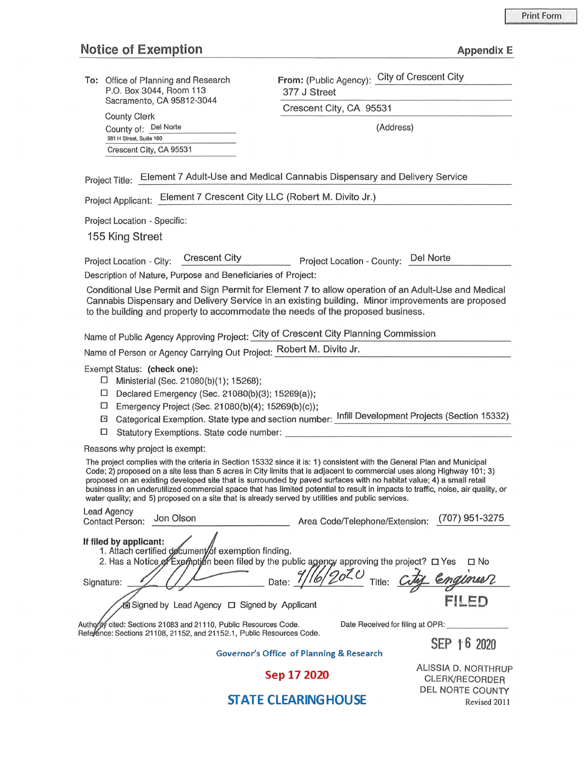## **Notice of Exemption**

|  |  | Appendix E |
|--|--|------------|
|  |  |            |

| To: Office of Planning and Research |
|-------------------------------------|
| P.O. Box 3044, Room 113             |
| Sacramento, CA 95812-3044           |

County Clerk County of: \_D\_el\_N\_o\_rte \_\_\_\_ \_ (Address) 981 H Street, Suite 160 Crescent City, CA 95531

From: (Public Agency): City of Crescent City 377 J Street

Crescent City, CA 95531

Project Title: Element 7 Adult-Use and Medical Cannabis Dispensary and Delivery Service

Project Applicant: Element 7 Crescent City LLC (Robert M. Divito Jr.)

Project Location - Specific:

155 King Street

Project Location - City: Crescent City Project Location - County: Del Norte

Description of Nature, Purpose and Beneficiaries of Project:

Conditional Use Permit and Sign Permit for Element 7 to allow operation of an Adult-Use and Medical Cannabis Dispensary and Delivery Service in an existing building. Minor improvements are proposed to the building and property to accommodate the needs of the proposed business.

Name of Public Agency Approving Project: City of Crescent City Planning Commission

Name of Person or Agency Carrying Out Project: Robert M. Divito Jr.

Exempt Status: **(check one):** 

- □ Ministerial (Sec. 21080(b)(1 ): 15268);
- D Declared Emergency (Sec. 21080(b)(3); 15269(a));
- $\Box$  Emergency Project (Sec. 21080(b)(4); 15269(b)(c));
- El Categorical Exemption. State type and section number: Infill Development Projects (Section 15332) <sup>D</sup>Statutory Exemptions. State code number: \_\_\_\_\_\_\_\_\_\_\_\_\_\_\_\_\_\_\_\_ \_
- 

Reasons why project is exempt:

Lead Agency

The project complies with the criteria in Section 15332 since it is: 1) consistent with the General Plan and Municipal Code; 2) proposed on a site less than 5 acres in City limits that is adjacent to commercial uses along Highway 101; 3) proposed on an existing developed site that is surrounded by paved surfaces with no habitat value; 4) a small retail business in an underutilized commercial space that has limited potential to result in impacts to traffic, noise, air quality, or water quality; and 5) proposed on a site that is already served by utilities and public services.

| Leau Agency<br>Jon Olson<br><b>Contact Person:</b>                                             | (707) 951-3275<br>Area Code/Telephone/Extension:    |
|------------------------------------------------------------------------------------------------|-----------------------------------------------------|
| If filed by applicant:<br>1. Attach certified document/of exemption finding.                   |                                                     |
| 2. Has a Notice of Exemption been filed by the public agency approving the project? $\Box$ Yes | $\Box$ No                                           |
| Date:<br>Signature:                                                                            | 4116/2020<br>Title:<br>Engineer                     |
| 面 Signed by Lead Agency ロ Signed by Applicant                                                  | FII ED                                              |
| Authority cited: Sections 21083 and 21110, Public Resources Code.                              | Date Received for filing at OPR:                    |
| Reference: Sections 21108, 21152, and 21152.1, Public Resources Code.                          | SEP 16 2020                                         |
|                                                                                                | <b>Governor's Office of Planning &amp; Research</b> |
|                                                                                                |                                                     |

Sep 17 2020

ALISSIA D. NORTHRUP CLERK/RECORDER DEL NORTE COUNTY Revised 2011

## **STATE CLEARING HOUSE**